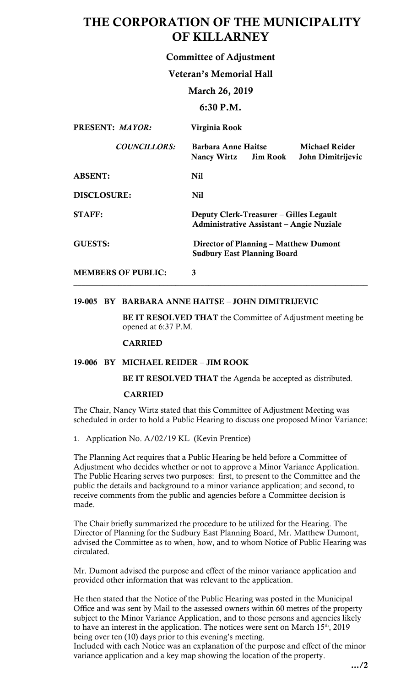# THE CORPORATION OF THE MUNICIPALITY OF KILLARNEY

# Committee of Adjustment

## Veteran's Memorial Hall

## March 26, 2019

## 6:30 P.M.

| PRESENT: MAYOR:           | Virginia Rook                                                                                    |
|---------------------------|--------------------------------------------------------------------------------------------------|
| <b>COUNCILLORS:</b>       | <b>Michael Reider</b><br>Barbara Anne Haitse<br>John Dimitrijevic<br><b>Nancy Wirtz</b> Jim Rook |
| <b>ABSENT:</b>            | Nil                                                                                              |
| <b>DISCLOSURE:</b>        | Nil                                                                                              |
| <b>STAFF:</b>             | Deputy Clerk-Treasurer – Gilles Legault<br>Administrative Assistant – Angie Nuziale              |
| <b>GUESTS:</b>            | Director of Planning – Matthew Dumont<br><b>Sudbury East Planning Board</b>                      |
| <b>MEMBERS OF PUBLIC:</b> |                                                                                                  |

\_\_\_\_\_\_\_\_\_\_\_\_\_\_\_\_\_\_\_\_\_\_\_\_\_\_\_\_\_\_\_\_\_\_\_\_\_\_\_\_\_\_\_\_\_\_\_\_\_\_\_\_\_\_\_\_\_\_\_\_\_\_\_\_\_\_\_\_\_\_\_\_

## 19-005 BY BARBARA ANNE HAITSE – JOHN DIMITRIJEVIC

BE IT RESOLVED THAT the Committee of Adjustment meeting be opened at 6:37 P.M.

## CARRIED

## 19-006 BY MICHAEL REIDER – JIM ROOK

BE IT RESOLVED THAT the Agenda be accepted as distributed.

### CARRIED

 The Chair, Nancy Wirtz stated that this Committee of Adjustment Meeting was scheduled in order to hold a Public Hearing to discuss one proposed Minor Variance:

1. Application No. A/02/19 KL (Kevin Prentice)

 The Planning Act requires that a Public Hearing be held before a Committee of Adjustment who decides whether or not to approve a Minor Variance Application. The Public Hearing serves two purposes: first, to present to the Committee and the public the details and background to a minor variance application; and second, to receive comments from the public and agencies before a Committee decision is made.

 Director of Planning for the Sudbury East Planning Board, Mr. Matthew Dumont, advised the Committee as to when, how, and to whom Notice of Public Hearing was The Chair briefly summarized the procedure to be utilized for the Hearing. The circulated.

 Mr. Dumont advised the purpose and effect of the minor variance application and provided other information that was relevant to the application.

He then stated that the Notice of the Public Hearing was posted in the Municipal Office and was sent by Mail to the assessed owners within 60 metres of the property subject to the Minor Variance Application, and to those persons and agencies likely to have an interest in the application. The notices were sent on March  $15<sup>th</sup>$ , 2019 being over ten (10) days prior to this evening's meeting.

Included with each Notice was an explanation of the purpose and effect of the minor variance application and a key map showing the location of the property.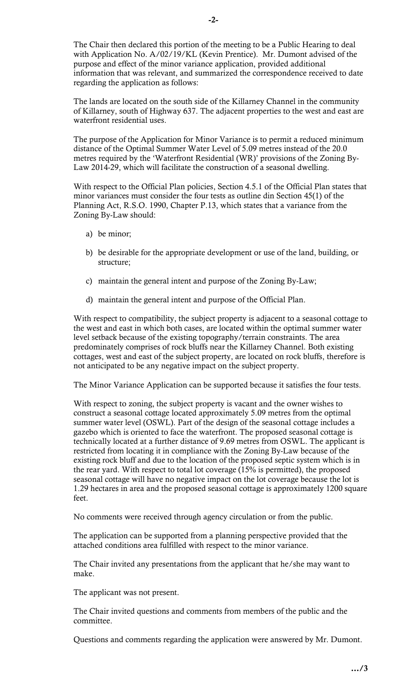The Chair then declared this portion of the meeting to be a Public Hearing to deal purpose and effect of the minor variance application, provided additional with Application No. A/02/19/KL (Kevin Prentice). Mr. Dumont advised of the information that was relevant, and summarized the correspondence received to date regarding the application as follows:

 The lands are located on the south side of the Killarney Channel in the community of Killarney, south of Highway 637. The adjacent properties to the west and east are waterfront residential uses.

 The purpose of the Application for Minor Variance is to permit a reduced minimum distance of the Optimal Summer Water Level of 5.09 metres instead of the 20.0 Law 2014-29, which will facilitate the construction of a seasonal dwelling. metres required by the 'Waterfront Residential (WR)' provisions of the Zoning By-

 With respect to the Official Plan policies, Section 4.5.1 of the Official Plan states that minor variances must consider the four tests as outline din Section 45(1) of the Planning Act, R.S.O. 1990, Chapter P.13, which states that a variance from the Zoning By-Law should:

- a) be minor;
- b) be desirable for the appropriate development or use of the land, building, or structure;
- c) maintain the general intent and purpose of the Zoning By-Law;
- d) maintain the general intent and purpose of the Official Plan.

 With respect to compatibility, the subject property is adjacent to a seasonal cottage to the west and east in which both cases, are located within the optimal summer water level setback because of the existing topography/terrain constraints. The area predominately comprises of rock bluffs near the Killarney Channel. Both existing cottages, west and east of the subject property, are located on rock bluffs, therefore is not anticipated to be any negative impact on the subject property.

The Minor Variance Application can be supported because it satisfies the four tests.

With respect to zoning, the subject property is vacant and the owner wishes to construct a seasonal cottage located approximately 5.09 metres from the optimal summer water level (OSWL). Part of the design of the seasonal cottage includes a gazebo which is oriented to face the waterfront. The proposed seasonal cottage is technically located at a further distance of 9.69 metres from OSWL. The applicant is restricted from locating it in compliance with the Zoning By-Law because of the existing rock bluff and due to the location of the proposed septic system which is in the rear yard. With respect to total lot coverage (15% is permitted), the proposed seasonal cottage will have no negative impact on the lot coverage because the lot is 1.29 hectares in area and the proposed seasonal cottage is approximately 1200 square feet.

No comments were received through agency circulation or from the public.

 The application can be supported from a planning perspective provided that the attached conditions area fulfilled with respect to the minor variance.

 The Chair invited any presentations from the applicant that he/she may want to make.

The applicant was not present.

 The Chair invited questions and comments from members of the public and the committee.

Questions and comments regarding the application were answered by Mr. Dumont.